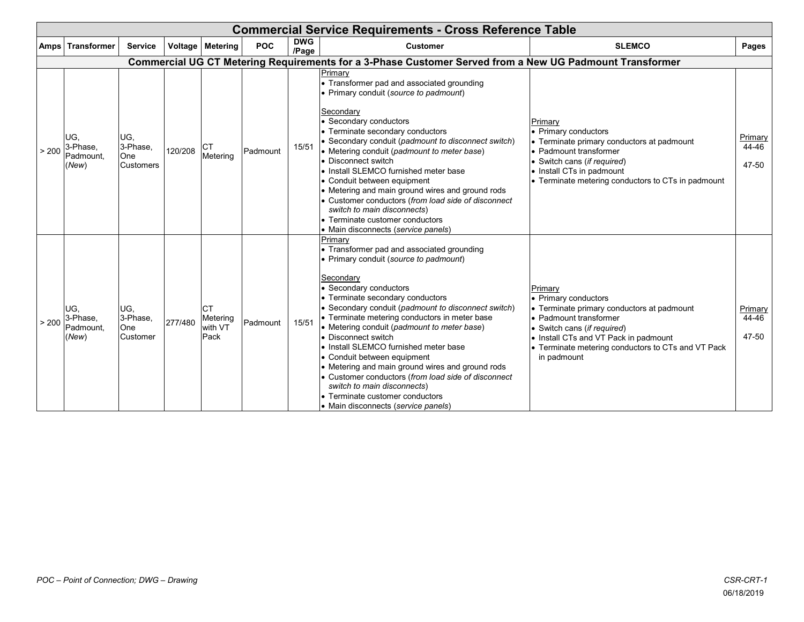|       | <b>Commercial Service Requirements - Cross Reference Table</b> |                                            |         |                                          |            |                     |                                                                                                                                                                                                                                                                                                                                                                                                                                                                                                                                                                                                                                                       |                                                                                                                                                                                                                                                      |                           |  |  |  |  |
|-------|----------------------------------------------------------------|--------------------------------------------|---------|------------------------------------------|------------|---------------------|-------------------------------------------------------------------------------------------------------------------------------------------------------------------------------------------------------------------------------------------------------------------------------------------------------------------------------------------------------------------------------------------------------------------------------------------------------------------------------------------------------------------------------------------------------------------------------------------------------------------------------------------------------|------------------------------------------------------------------------------------------------------------------------------------------------------------------------------------------------------------------------------------------------------|---------------------------|--|--|--|--|
|       | Amps   Transformer                                             | <b>Service</b>                             |         | Voltage Metering                         | <b>POC</b> | <b>DWG</b><br>/Page | <b>Customer</b>                                                                                                                                                                                                                                                                                                                                                                                                                                                                                                                                                                                                                                       | <b>SLEMCO</b>                                                                                                                                                                                                                                        | Pages                     |  |  |  |  |
|       |                                                                |                                            |         |                                          |            |                     | Commercial UG CT Metering Requirements for a 3-Phase Customer Served from a New UG Padmount Transformer                                                                                                                                                                                                                                                                                                                                                                                                                                                                                                                                               |                                                                                                                                                                                                                                                      |                           |  |  |  |  |
| > 200 | IUG.<br>3-Phase,<br>Padmount,<br>(New)                         | UG,<br>3-Phase,<br>One<br><b>Customers</b> | 120/208 | Metering                                 | Padmount   | 15/51               | Primary<br>• Transformer pad and associated grounding<br>• Primary conduit (source to padmount)<br>Secondary<br>• Secondary conductors<br>• Terminate secondary conductors<br>• Secondary conduit (padmount to disconnect switch)<br>• Metering conduit (padmount to meter base)<br>• Disconnect switch<br>I. Install SLEMCO furnished meter base<br>• Conduit between equipment<br>• Metering and main ground wires and ground rods<br>• Customer conductors (from load side of disconnect<br>switch to main disconnects)<br>• Terminate customer conductors<br>• Main disconnects (service panels)                                                  | Primarv<br>• Primary conductors<br>• Terminate primary conductors at padmount<br>• Padmount transformer<br>• Switch cans (if required)<br>• Install CTs in padmount<br>• Terminate metering conductors to CTs in padmount                            | Primary<br>44-46<br>47-50 |  |  |  |  |
| > 200 | IUG.<br>3-Phase,<br>Padmount.<br>(New)                         | UG,<br>3-Phase,<br>One<br>Customer         | 277/480 | <b>CT</b><br>Metering<br>with VT<br>Pack | Padmount   | 15/51               | Primary<br>• Transformer pad and associated grounding<br>• Primary conduit (source to padmount)<br>Secondary<br>• Secondary conductors<br>• Terminate secondary conductors<br>• Secondary conduit (padmount to disconnect switch)<br>• Terminate metering conductors in meter base<br>• Metering conduit (padmount to meter base)<br>• Disconnect switch<br>I. Install SLEMCO furnished meter base<br>• Conduit between equipment<br>• Metering and main ground wires and ground rods<br>• Customer conductors (from load side of disconnect<br>switch to main disconnects)<br>• Terminate customer conductors<br>• Main disconnects (service panels) | Primary<br>• Primary conductors<br>• Terminate primary conductors at padmount<br>• Padmount transformer<br>• Switch cans (if required)<br>. Install CTs and VT Pack in padmount<br>• Terminate metering conductors to CTs and VT Pack<br>in padmount | Primary<br>44-46<br>47-50 |  |  |  |  |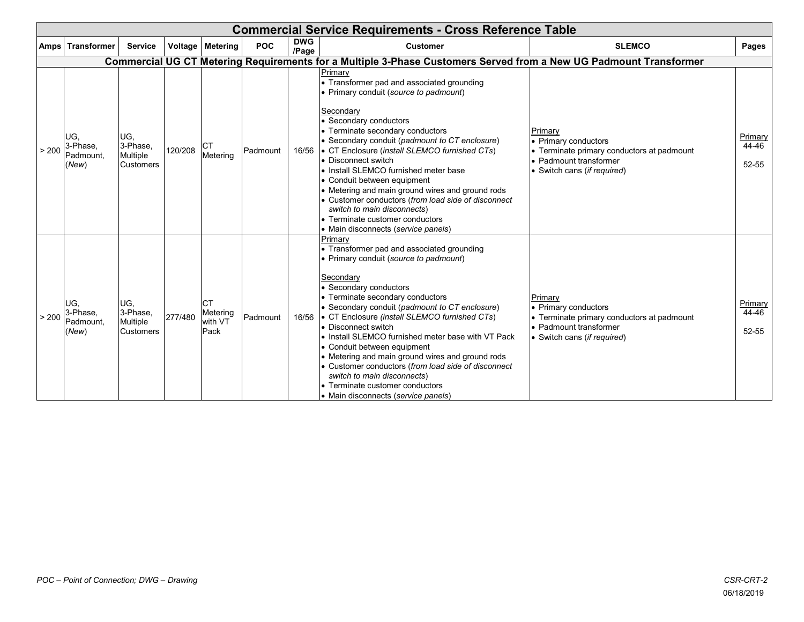|       | <b>Commercial Service Requirements - Cross Reference Table</b> |                                                  |         |                                          |            |                     |                                                                                                                                                                                                                                                                                                                                                                                                                                                                                                                                                                                                                    |                                                                                                                                  |                           |  |  |  |  |  |
|-------|----------------------------------------------------------------|--------------------------------------------------|---------|------------------------------------------|------------|---------------------|--------------------------------------------------------------------------------------------------------------------------------------------------------------------------------------------------------------------------------------------------------------------------------------------------------------------------------------------------------------------------------------------------------------------------------------------------------------------------------------------------------------------------------------------------------------------------------------------------------------------|----------------------------------------------------------------------------------------------------------------------------------|---------------------------|--|--|--|--|--|
|       | Amps   Transformer                                             | <b>Service</b>                                   |         | Voltage   Metering                       | <b>POC</b> | <b>DWG</b><br>/Page | <b>Customer</b>                                                                                                                                                                                                                                                                                                                                                                                                                                                                                                                                                                                                    | <b>SLEMCO</b>                                                                                                                    | Pages                     |  |  |  |  |  |
|       |                                                                |                                                  |         |                                          |            |                     | Commercial UG CT Metering Requirements for a Multiple 3-Phase Customers Served from a New UG Padmount Transformer                                                                                                                                                                                                                                                                                                                                                                                                                                                                                                  |                                                                                                                                  |                           |  |  |  |  |  |
| > 200 | UG.<br>3-Phase,<br>Padmount.<br>(New)                          | UG,<br>3-Phase.<br>Multiple<br><b>Customers</b>  | 120/208 | <b>CT</b><br>Metering                    | Padmount   |                     | Primary<br>• Transformer pad and associated grounding<br>• Primary conduit (source to padmount)<br>Secondary<br>• Secondary conductors<br>• Terminate secondary conductors<br>• Secondary conduit (padmount to CT enclosure)<br>16/56 • CT Enclosure (install SLEMCO furnished CTs)<br>• Disconnect switch<br>• Install SLEMCO furnished meter base<br>• Conduit between equipment<br>Metering and main ground wires and ground rods<br>Customer conductors (from load side of disconnect<br>switch to main disconnects)<br>• Terminate customer conductors<br>• Main disconnects (service panels)                 | Primary<br>• Primary conductors<br>Terminate primary conductors at padmount<br>Padmount transformer<br>Switch cans (if required) | Primary<br>44-46<br>52-55 |  |  |  |  |  |
| > 200 | UG.<br>3-Phase,<br>Padmount,<br>(New)                          | IUG.<br>3-Phase,<br>Multiple<br><b>Customers</b> | 277/480 | <b>CT</b><br>Metering<br>with VT<br>Pack | Padmount   | 16/56               | Primary<br>• Transformer pad and associated grounding<br>• Primary conduit (source to padmount)<br>Secondary<br>• Secondary conductors<br>• Terminate secondary conductors<br>• Secondary conduit (padmount to CT enclosure)<br>• CT Enclosure (install SLEMCO furnished CTs)<br><b>Disconnect switch</b><br>• Install SLEMCO furnished meter base with VT Pack<br>• Conduit between equipment<br>• Metering and main ground wires and ground rods<br>• Customer conductors (from load side of disconnect<br>switch to main disconnects)<br>• Terminate customer conductors<br>• Main disconnects (service panels) | Primary<br>Primary conductors<br>Terminate primary conductors at padmount<br>Padmount transformer<br>· Switch cans (if required) | Primary<br>44-46<br>52-55 |  |  |  |  |  |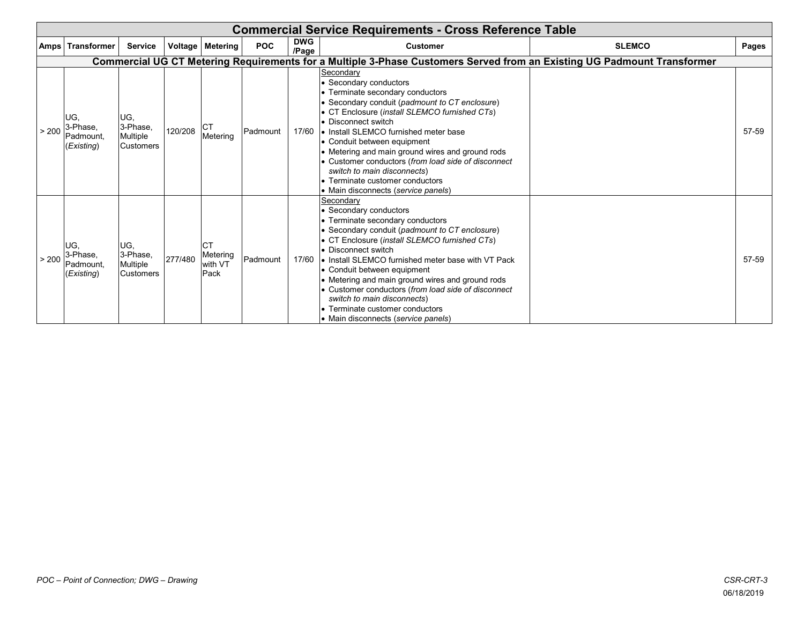|       | <b>Commercial Service Requirements - Cross Reference Table</b> |                                                 |         |                                          |            |                                                                                                                         |                                                                                                                                                                                                                                                                                                                                                                                                                                                                                                                |               |       |  |  |  |  |
|-------|----------------------------------------------------------------|-------------------------------------------------|---------|------------------------------------------|------------|-------------------------------------------------------------------------------------------------------------------------|----------------------------------------------------------------------------------------------------------------------------------------------------------------------------------------------------------------------------------------------------------------------------------------------------------------------------------------------------------------------------------------------------------------------------------------------------------------------------------------------------------------|---------------|-------|--|--|--|--|
|       | Amps   Transformer                                             | <b>Service</b>                                  |         | Voltage   Metering                       | <b>POC</b> | <b>DWG</b><br>/Page                                                                                                     | <b>Customer</b>                                                                                                                                                                                                                                                                                                                                                                                                                                                                                                | <b>SLEMCO</b> | Pages |  |  |  |  |
|       |                                                                |                                                 |         |                                          |            | Commercial UG CT Metering Requirements for a Multiple 3-Phase Customers Served from an Existing UG Padmount Transformer |                                                                                                                                                                                                                                                                                                                                                                                                                                                                                                                |               |       |  |  |  |  |
| > 200 | UG.<br>3-Phase,<br>Padmount,<br>(Existing)                     | UG,<br>3-Phase,<br>Multiple<br><b>Customers</b> | 120/208 | ICT<br>Metering                          | Padmount   | 17/60                                                                                                                   | Secondary<br>• Secondary conductors<br>• Terminate secondary conductors<br>Secondary conduit (padmount to CT enclosure)<br>• CT Enclosure (install SLEMCO furnished CTs)<br>• Disconnect switch<br>I. Install SLEMCO furnished meter base<br>• Conduit between equipment<br>• Metering and main ground wires and ground rods<br>• Customer conductors (from load side of disconnect<br>switch to main disconnects)<br>• Terminate customer conductors<br>• Main disconnects (service panels)                   |               | 57-59 |  |  |  |  |
|       | UG.<br>$\frac{1}{200}$ 3-Phase,<br>Padmount,<br>(Existing)     | UG,<br>3-Phase,<br>Multiple<br><b>Customers</b> | 277/480 | <b>CT</b><br>Metering<br>with VT<br>Pack | Padmount   |                                                                                                                         | Secondary<br>• Secondary conductors<br>• Terminate secondary conductors<br>• Secondary conduit (padmount to CT enclosure)<br>CT Enclosure (install SLEMCO furnished CTs)<br>• Disconnect switch<br>17/60 • Install SLEMCO furnished meter base with VT Pack<br>• Conduit between equipment<br>• Metering and main ground wires and ground rods<br>• Customer conductors (from load side of disconnect<br>switch to main disconnects)<br>• Terminate customer conductors<br>• Main disconnects (service panels) |               | 57-59 |  |  |  |  |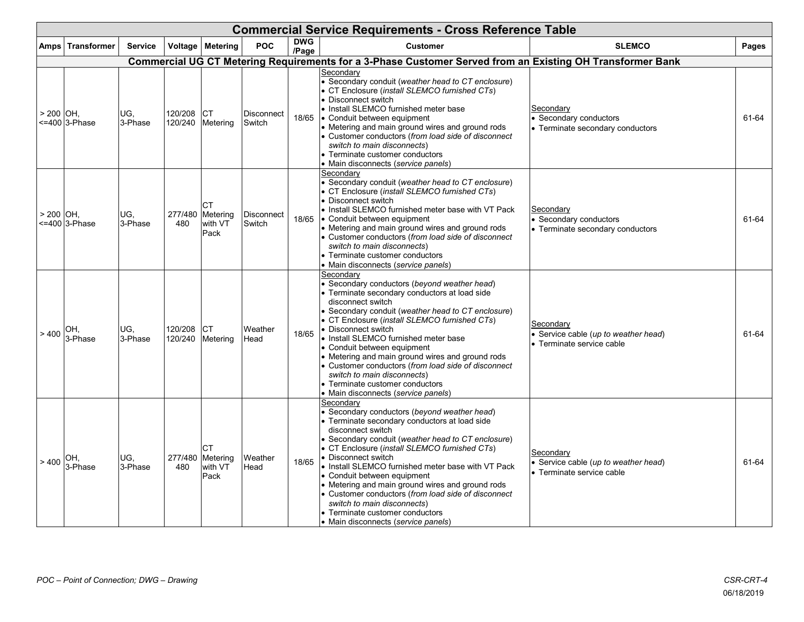|             | <b>Commercial Service Requirements - Cross Reference Table</b> |                |                    |                                          |                             |                     |                                                                                                                                                                                                                                                                                                                                                                                                                                                                                                                                                                        |                                                                                |       |  |  |  |
|-------------|----------------------------------------------------------------|----------------|--------------------|------------------------------------------|-----------------------------|---------------------|------------------------------------------------------------------------------------------------------------------------------------------------------------------------------------------------------------------------------------------------------------------------------------------------------------------------------------------------------------------------------------------------------------------------------------------------------------------------------------------------------------------------------------------------------------------------|--------------------------------------------------------------------------------|-------|--|--|--|
|             | Amps Transformer                                               | <b>Service</b> |                    | Voltage Metering                         | POC                         | <b>DWG</b><br>/Page | <b>Customer</b>                                                                                                                                                                                                                                                                                                                                                                                                                                                                                                                                                        | <b>SLEMCO</b>                                                                  | Pages |  |  |  |
|             |                                                                |                |                    |                                          |                             |                     | Commercial UG CT Metering Requirements for a 3-Phase Customer Served from an Existing OH Transformer Bank                                                                                                                                                                                                                                                                                                                                                                                                                                                              |                                                                                |       |  |  |  |
| $> 200$ OH, | <=400 3-Phase                                                  | UG.<br>3-Phase | 120/208<br>120/240 | <b>CT</b><br>Metering                    | <b>Disconnect</b><br>Switch |                     | Secondary<br>• Secondary conduit (weather head to CT enclosure)<br>• CT Enclosure (install SLEMCO furnished CTs)<br>• Disconnect switch<br>• Install SLEMCO furnished meter base<br>18/65 • Conduit between equipment<br>• Metering and main ground wires and ground rods<br>• Customer conductors (from load side of disconnect<br>switch to main disconnects)<br>• Terminate customer conductors<br>• Main disconnects (service panels)                                                                                                                              | Secondary<br><b>Secondary conductors</b><br>• Terminate secondary conductors   | 61-64 |  |  |  |
| > 200 IOH.  | <=400 3-Phase                                                  | UG.<br>3-Phase | 277/480<br>480     | <b>CT</b><br>Metering<br>with VT<br>Pack | <b>Disconnect</b><br>Switch |                     | Secondary<br>• Secondary conduit (weather head to CT enclosure)<br>• CT Enclosure (install SLEMCO furnished CTs)<br>• Disconnect switch<br>• Install SLEMCO furnished meter base with VT Pack<br>18/65 • Conduit between equipment<br>• Metering and main ground wires and ground rods<br>• Customer conductors (from load side of disconnect<br>switch to main disconnects)<br>• Terminate customer conductors<br>• Main disconnects (service panels)                                                                                                                 | Secondary<br>Secondary conductors<br>• Terminate secondary conductors          | 61-64 |  |  |  |
| >400        | OH.<br>3-Phase                                                 | UG.<br>3-Phase | 120/208<br>120/240 | <b>CT</b><br>Metering                    | Weather<br>Head             | 18/65               | Secondary<br>• Secondary conductors (beyond weather head)<br>• Terminate secondary conductors at load side<br>disconnect switch<br>• Secondary conduit (weather head to CT enclosure)<br>• CT Enclosure (install SLEMCO furnished CTs)<br>• Disconnect switch<br>• Install SLEMCO furnished meter base<br>• Conduit between equipment<br>• Metering and main ground wires and ground rods<br>• Customer conductors (from load side of disconnect<br>switch to main disconnects)<br>• Terminate customer conductors<br>• Main disconnects (service panels)              | Secondary<br>• Service cable (up to weather head)<br>• Terminate service cable | 61-64 |  |  |  |
|             | $> 400 \big _{3 - \text{Phase}}^{\text{O}(\cdot)}$             | UG.<br>3-Phase | 277/480<br>480     | <b>CT</b><br>Metering<br>with VT<br>Pack | Weather<br>Head             | 18/65               | Secondary<br>• Secondary conductors (beyond weather head)<br>• Terminate secondary conductors at load side<br>disconnect switch<br>• Secondary conduit (weather head to CT enclosure)<br>• CT Enclosure (install SLEMCO furnished CTs)<br>• Disconnect switch<br>• Install SLEMCO furnished meter base with VT Pack<br>• Conduit between equipment<br>• Metering and main ground wires and ground rods<br>• Customer conductors (from load side of disconnect<br>switch to main disconnects)<br>• Terminate customer conductors<br>• Main disconnects (service panels) | Secondary<br>Service cable (up to weather head)<br>• Terminate service cable   | 61-64 |  |  |  |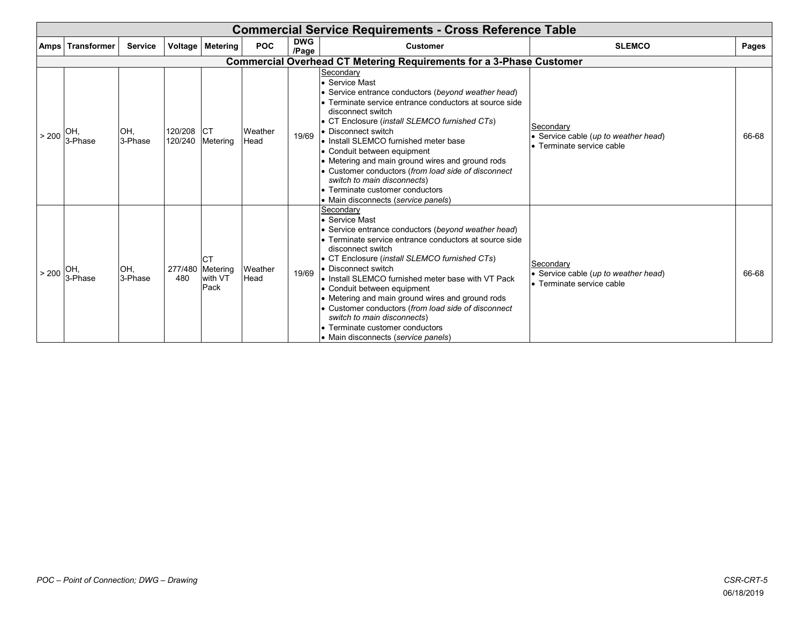| <b>Commercial Service Requirements - Cross Reference Table</b> |                |                    |                                                  |                 |                     |                                                                                                                                                                                                                                                                                                                                                                                                                                                                                                                                                     |                                                                                |       |  |  |  |  |
|----------------------------------------------------------------|----------------|--------------------|--------------------------------------------------|-----------------|---------------------|-----------------------------------------------------------------------------------------------------------------------------------------------------------------------------------------------------------------------------------------------------------------------------------------------------------------------------------------------------------------------------------------------------------------------------------------------------------------------------------------------------------------------------------------------------|--------------------------------------------------------------------------------|-------|--|--|--|--|
| <b>Amps Transformer</b>                                        | <b>Service</b> |                    | Voltage Metering                                 | <b>POC</b>      | <b>DWG</b><br>/Page | <b>Customer</b>                                                                                                                                                                                                                                                                                                                                                                                                                                                                                                                                     | <b>SLEMCO</b>                                                                  | Pages |  |  |  |  |
|                                                                |                |                    |                                                  |                 |                     | <b>Commercial Overhead CT Metering Requirements for a 3-Phase Customer</b>                                                                                                                                                                                                                                                                                                                                                                                                                                                                          |                                                                                |       |  |  |  |  |
| $\mid$ > 200 $\mid$ 3-Phase                                    | OH,<br>3-Phase | 120/208<br>120/240 | <b>ICT</b><br>Metering                           | Weather<br>Head | 19/69               | Secondary<br>• Service Mast<br>• Service entrance conductors (beyond weather head)<br>• Terminate service entrance conductors at source side<br>disconnect switch<br>• CT Enclosure (install SLEMCO furnished CTs)<br>• Disconnect switch<br>• Install SLEMCO furnished meter base<br>• Conduit between equipment<br>• Metering and main ground wires and ground rods<br>• Customer conductors (from load side of disconnect<br>switch to main disconnects)<br>• Terminate customer conductors<br>• Main disconnects (service panels)               | Secondarv<br>• Service cable (up to weather head)<br>• Terminate service cable | 66-68 |  |  |  |  |
| $> 200$ 3-Phase                                                | OH,<br>3-Phase | 480                | <b>CT</b><br>277/480 Metering<br>with VT<br>Pack | Weather<br>Head | 19/69               | Secondary<br>• Service Mast<br>• Service entrance conductors (beyond weather head)<br>• Terminate service entrance conductors at source side<br>disconnect switch<br>• CT Enclosure (install SLEMCO furnished CTs)<br>• Disconnect switch<br>l• Install SLEMCO furnished meter base with VT Pack<br>• Conduit between equipment<br>• Metering and main ground wires and ground rods<br>• Customer conductors (from load side of disconnect<br>switch to main disconnects)<br>• Terminate customer conductors<br>• Main disconnects (service panels) | Secondary<br>• Service cable (up to weather head)<br>• Terminate service cable | 66-68 |  |  |  |  |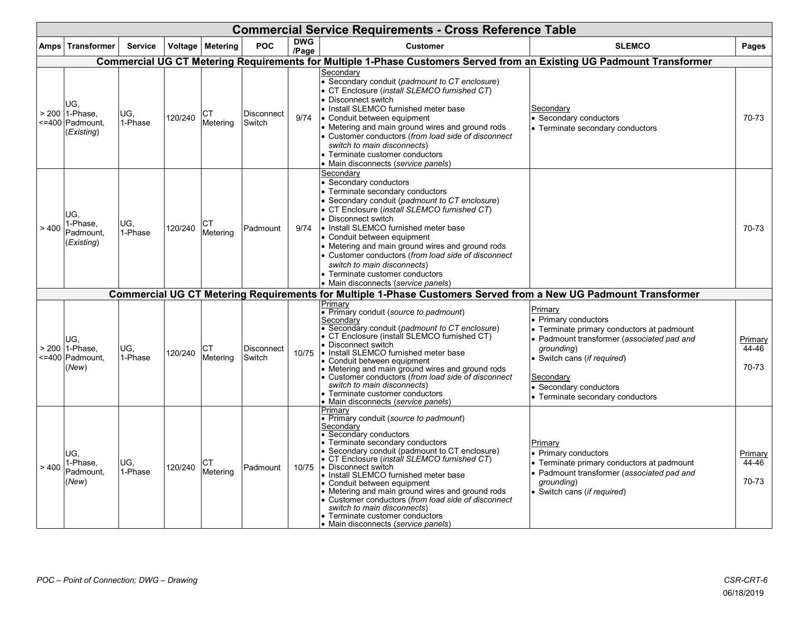|       | <b>Commercial Service Requirements - Cross Reference Table</b> |                |         |                  |                             |                     |                                                                                                                                                                                                                                                                                                                                                                                                                                                                                                                                                            |                                                                                                                                                                                                                                                     |                           |  |  |  |  |
|-------|----------------------------------------------------------------|----------------|---------|------------------|-----------------------------|---------------------|------------------------------------------------------------------------------------------------------------------------------------------------------------------------------------------------------------------------------------------------------------------------------------------------------------------------------------------------------------------------------------------------------------------------------------------------------------------------------------------------------------------------------------------------------------|-----------------------------------------------------------------------------------------------------------------------------------------------------------------------------------------------------------------------------------------------------|---------------------------|--|--|--|--|
|       | Amps Transformer                                               | <b>Service</b> |         | Voltage Metering | <b>POC</b>                  | <b>DWG</b><br>/Page | <b>Customer</b>                                                                                                                                                                                                                                                                                                                                                                                                                                                                                                                                            | <b>SLEMCO</b>                                                                                                                                                                                                                                       | Pages                     |  |  |  |  |
|       |                                                                |                |         |                  |                             |                     | Commercial UG CT Metering Requirements for Multiple 1-Phase Customers Served from an Existing UG Padmount Transformer                                                                                                                                                                                                                                                                                                                                                                                                                                      |                                                                                                                                                                                                                                                     |                           |  |  |  |  |
|       | UG,<br>> 200 1-Phase.<br><=400 Padmount,<br>(Existing)         | UG.<br>1-Phase | 120/240 | СT<br>Metering   | <b>Disconnect</b><br>Switch | 9/74                | Secondary<br>• Secondary conduit (padmount to CT enclosure)<br>• CT Enclosure (install SLEMCO furnished CT)<br>• Disconnect switch<br>• Install SLEMCO furnished meter base<br>• Conduit between equipment<br>• Metering and main ground wires and ground rods<br>• Customer conductors (from load side of disconnect<br>switch to main disconnects)<br>• Terminate customer conductors<br>• Main disconnects (service panels)                                                                                                                             | Secondary<br>Secondary conductors<br>• Terminate secondary conductors                                                                                                                                                                               | 70-73                     |  |  |  |  |
| > 400 | UG.<br>1-Phase,<br>Padmount,<br>(Existing)                     | UG.<br>1-Phase | 120/240 | СT<br>Meterina   | Padmount                    | 9/74                | Secondary<br>• Secondary conductors<br>• Terminate secondary conductors<br>• Secondary conduit (padmount to CT enclosure)<br>• CT Enclosure (install SLEMCO furnished CT)<br>• Disconnect switch<br>• Install SLEMCO furnished meter base<br>• Conduit between equipment<br>• Metering and main ground wires and ground rods<br>• Customer conductors (from load side of disconnect<br>switch to main disconnects)<br>• Terminate customer conductors<br>• Main disconnects (service panels)                                                               |                                                                                                                                                                                                                                                     | 70-73                     |  |  |  |  |
|       |                                                                |                |         |                  |                             |                     | Commercial UG CT Metering Requirements for Multiple 1-Phase Customers Served from a New UG Padmount Transformer                                                                                                                                                                                                                                                                                                                                                                                                                                            |                                                                                                                                                                                                                                                     |                           |  |  |  |  |
|       | UG.<br>> 200 1-Phase,<br><=400 Padmount,<br>(New)              | UG.<br>1-Phase | 120/240 | СT<br>Meterina   | Disconnect<br>Switch        | 10/75               | Primary<br>• Primary conduit (source to padmount)<br>Secondary<br>• Secondary conduit (padmount to CT enclosure)<br>• CT Enclosure (install SLEMCO furnished CT)<br>• Disconnect switch<br>. Install SLEMCO furnished meter base<br>• Conduit between equipment<br>• Metering and main ground wires and ground rods<br>• Customer conductors (from load side of disconnect<br>switch to main disconnects)<br>• Terminate customer conductors<br>• Main disconnects (service panels)                                                                        | Primary<br>• Primary conductors<br>• Terminate primary conductors at padmount<br>• Padmount transformer (associated pad and<br>grounding)<br>• Switch cans (if required)<br>Secondary<br>• Secondary conductors<br>• Terminate secondary conductors | Primary<br>44-46<br>70-73 |  |  |  |  |
| >400  | UG.<br>1-Phase,<br>Padmount,<br>(New)                          | UG.<br>1-Phase | 120/240 | CТ<br>Meterina   | Padmount                    | 10/75               | Primary<br>• Primary conduit (source to padmount)<br>Secondary<br>• Secondary conductors<br>• Terminate secondary conductors<br>• Secondary conduit (padmount to CT enclosure)<br>• CT Enclosure ( <i>install SLEMCO furnished CT</i> )<br>• Disconnect switch<br>• Install SLEMCO furnished meter base<br>• Conduit between equipment<br>• Metering and main ground wires and ground rods<br>• Customer conductors (from load side of disconnect<br>switch to main disconnects)<br>• Terminate customer conductors<br>• Main disconnects (service panels) | Primary<br>• Primary conductors<br>• Terminate primary conductors at padmount<br>• Padmount transformer (associated pad and<br>grounding)<br>• Switch cans (if required)                                                                            | Primary<br>44-46<br>70-73 |  |  |  |  |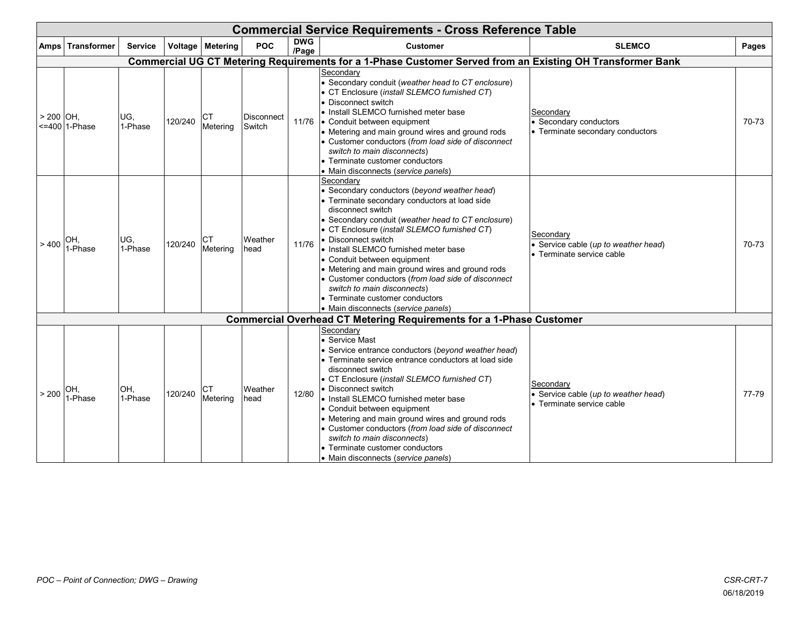|           | <b>Commercial Service Requirements - Cross Reference Table</b> |                |         |                       |                             |                     |                                                                                                                                                                                                                                                                                                                                                                                                                                                                                                                                                        |                                                                                |       |  |  |  |  |  |
|-----------|----------------------------------------------------------------|----------------|---------|-----------------------|-----------------------------|---------------------|--------------------------------------------------------------------------------------------------------------------------------------------------------------------------------------------------------------------------------------------------------------------------------------------------------------------------------------------------------------------------------------------------------------------------------------------------------------------------------------------------------------------------------------------------------|--------------------------------------------------------------------------------|-------|--|--|--|--|--|
| Amps      | <b>Transformer</b>                                             | <b>Service</b> |         | Voltage Metering      | <b>POC</b>                  | <b>DWG</b><br>/Page | <b>Customer</b>                                                                                                                                                                                                                                                                                                                                                                                                                                                                                                                                        | <b>SLEMCO</b>                                                                  | Pages |  |  |  |  |  |
|           |                                                                |                |         |                       |                             |                     | Commercial UG CT Metering Requirements for a 1-Phase Customer Served from an Existing OH Transformer Bank                                                                                                                                                                                                                                                                                                                                                                                                                                              |                                                                                |       |  |  |  |  |  |
| > 200 OH. | <=400 1-Phase                                                  | UG,<br>1-Phase | 120/240 | СT<br>Metering        | <b>Disconnect</b><br>Switch | 11/76               | Secondary<br>• Secondary conduit (weather head to CT enclosure)<br>• CT Enclosure (install SLEMCO furnished CT)<br>• Disconnect switch<br>• Install SLEMCO furnished meter base<br>• Conduit between equipment<br>• Metering and main ground wires and ground rods<br>• Customer conductors (from load side of disconnect<br>switch to main disconnects)<br>• Terminate customer conductors<br>• Main disconnects (service panels)                                                                                                                     | Secondary<br>Secondary conductors<br>• Terminate secondary conductors          | 70-73 |  |  |  |  |  |
| >400      | OH.<br>1-Phase                                                 | UG,<br>1-Phase | 120/240 | <b>CT</b><br>Metering | Weather<br>head             | 11/76               | Secondary<br>• Secondary conductors (beyond weather head)<br>• Terminate secondary conductors at load side<br>disconnect switch<br>• Secondary conduit (weather head to CT enclosure)<br>• CT Enclosure (install SLEMCO furnished CT)<br>Disconnect switch<br>• Install SLEMCO furnished meter base<br>• Conduit between equipment<br>• Metering and main ground wires and ground rods<br>• Customer conductors (from load side of disconnect<br>switch to main disconnects)<br>• Terminate customer conductors<br>• Main disconnects (service panels) | Secondary<br>Service cable (up to weather head)<br>• Terminate service cable   | 70-73 |  |  |  |  |  |
|           |                                                                |                |         |                       |                             |                     | <b>Commercial Overhead CT Metering Requirements for a 1-Phase Customer</b>                                                                                                                                                                                                                                                                                                                                                                                                                                                                             |                                                                                |       |  |  |  |  |  |
| > 200     | OH.<br>1-Phase                                                 | OH.<br>1-Phase | 120/240 | <b>CT</b><br>Metering | Weather<br>head             | 12/80               | Secondary<br>• Service Mast<br>• Service entrance conductors (beyond weather head)<br>Ferminate service entrance conductors at load side<br>disconnect switch<br>• CT Enclosure (install SLEMCO furnished CT)<br>Disconnect switch<br>Io Install SLEMCO furnished meter base<br>• Conduit between equipment<br>• Metering and main ground wires and ground rods<br>• Customer conductors (from load side of disconnect<br>switch to main disconnects)<br>• Terminate customer conductors<br>• Main disconnects (service panels)                        | Secondary<br>· Service cable (up to weather head)<br>• Terminate service cable | 77-79 |  |  |  |  |  |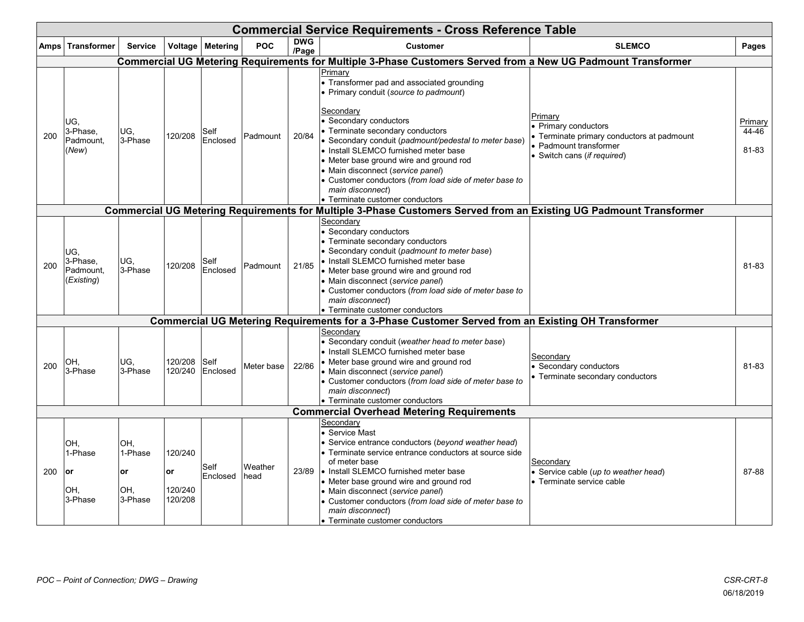|     | <b>Commercial Service Requirements - Cross Reference Table</b> |                                        |                                     |                    |                 |                     |                                                                                                                                                                                                                                                                                                                                                                                                                                                                               |                                                                                                                                |                           |  |  |  |  |
|-----|----------------------------------------------------------------|----------------------------------------|-------------------------------------|--------------------|-----------------|---------------------|-------------------------------------------------------------------------------------------------------------------------------------------------------------------------------------------------------------------------------------------------------------------------------------------------------------------------------------------------------------------------------------------------------------------------------------------------------------------------------|--------------------------------------------------------------------------------------------------------------------------------|---------------------------|--|--|--|--|
|     | Amps Transformer                                               | <b>Service</b>                         |                                     | Voltage   Metering | POC             | <b>DWG</b><br>/Page | <b>Customer</b>                                                                                                                                                                                                                                                                                                                                                                                                                                                               | <b>SLEMCO</b>                                                                                                                  | Pages                     |  |  |  |  |
|     |                                                                |                                        |                                     |                    |                 |                     | Commercial UG Metering Requirements for Multiple 3-Phase Customers Served from a New UG Padmount Transformer                                                                                                                                                                                                                                                                                                                                                                  |                                                                                                                                |                           |  |  |  |  |
| 200 | UG,<br>3-Phase,<br>Padmount,<br>(New)                          | UG,<br>3-Phase                         | 120/208                             | Self<br>Enclosed   | Padmount        | 20/84               | Primarv<br>• Transformer pad and associated grounding<br>• Primary conduit (source to padmount)<br>Secondary<br>• Secondary conductors<br>• Terminate secondary conductors<br>• Secondary conduit (padmount/pedestal to meter base)<br>• Install SLEMCO furnished meter base<br>• Meter base ground wire and ground rod<br>• Main disconnect (service panel)<br>• Customer conductors (from load side of meter base to<br>main disconnect)<br>• Terminate customer conductors | Primary<br>Primary conductors<br>Terminate primary conductors at padmount<br>Padmount transformer<br>Switch cans (if required) | Primary<br>44-46<br>81-83 |  |  |  |  |
|     |                                                                |                                        |                                     |                    |                 |                     | Commercial UG Metering Requirements for Multiple 3-Phase Customers Served from an Existing UG Padmount Transformer                                                                                                                                                                                                                                                                                                                                                            |                                                                                                                                |                           |  |  |  |  |
| 200 | UG,<br>3-Phase,<br>Padmount,<br>(Existing)                     | IUG.<br>3-Phase                        | 120/208                             | Self<br>Enclosed   | Padmount        | 21/85               | Secondary<br>• Secondary conductors<br>• Terminate secondary conductors<br>• Secondary conduit (padmount to meter base)<br>• Install SLEMCO furnished meter base<br>• Meter base ground wire and ground rod<br>• Main disconnect (service panel)<br>• Customer conductors (from load side of meter base to<br>main disconnect)<br>• Terminate customer conductors                                                                                                             |                                                                                                                                | 81-83                     |  |  |  |  |
|     |                                                                |                                        |                                     |                    |                 |                     | Commercial UG Metering Requirements for a 3-Phase Customer Served from an Existing OH Transformer                                                                                                                                                                                                                                                                                                                                                                             |                                                                                                                                |                           |  |  |  |  |
| 200 | OH,<br>3-Phase                                                 | UG,<br>3-Phase                         | 120/208<br>120/240                  | Self<br>Enclosed   | Meter base      | 22/86               | Secondary<br>• Secondary conduit (weather head to meter base)<br>• Install SLEMCO furnished meter base<br>• Meter base ground wire and ground rod<br>• Main disconnect (service panel)<br>• Customer conductors (from load side of meter base to<br>main disconnect)<br>• Terminate customer conductors                                                                                                                                                                       | Secondary<br>Secondary conductors<br>Terminate secondary conductors                                                            | 81-83                     |  |  |  |  |
|     |                                                                |                                        |                                     |                    |                 |                     | <b>Commercial Overhead Metering Requirements</b>                                                                                                                                                                                                                                                                                                                                                                                                                              |                                                                                                                                |                           |  |  |  |  |
| 200 | OH,<br>1-Phase<br>or<br>OH,<br>3-Phase                         | OH,<br>1-Phase<br>or<br>OH,<br>3-Phase | 120/240<br>or<br>120/240<br>120/208 | Self<br>Enclosed   | Weather<br>head | 23/89               | Secondary<br>• Service Mast<br>• Service entrance conductors (beyond weather head)<br>• Terminate service entrance conductors at source side<br>of meter base<br>Io Install SLEMCO furnished meter base<br>• Meter base ground wire and ground rod<br>• Main disconnect (service panel)<br>• Customer conductors (from load side of meter base to<br>main disconnect)<br>• Terminate customer conductors                                                                      | Secondary<br>Service cable (up to weather head)<br>$\bullet$ Terminate service cable                                           | 87-88                     |  |  |  |  |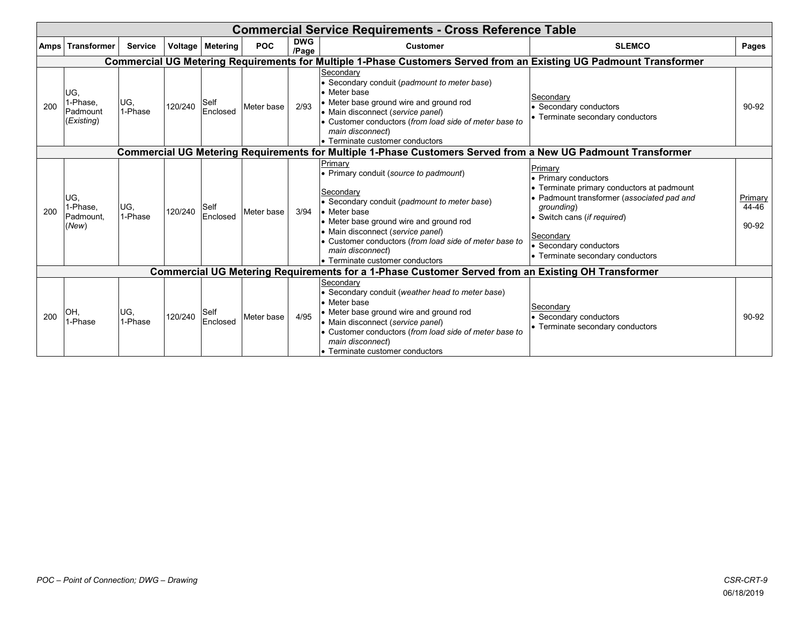| <b>Commercial Service Requirements - Cross Reference Table</b> |                                                                                                              |                |         |                         |            |                     |                                                                                                                                                                                                                                                                                                                                 |                                                                                                                                                                                                                                               |                           |  |  |  |  |
|----------------------------------------------------------------|--------------------------------------------------------------------------------------------------------------|----------------|---------|-------------------------|------------|---------------------|---------------------------------------------------------------------------------------------------------------------------------------------------------------------------------------------------------------------------------------------------------------------------------------------------------------------------------|-----------------------------------------------------------------------------------------------------------------------------------------------------------------------------------------------------------------------------------------------|---------------------------|--|--|--|--|
| <b>Amps</b>                                                    | Transformer                                                                                                  | <b>Service</b> |         | Voltage   Metering      | <b>POC</b> | <b>DWG</b><br>/Page | <b>Customer</b>                                                                                                                                                                                                                                                                                                                 | <b>SLEMCO</b>                                                                                                                                                                                                                                 | Pages                     |  |  |  |  |
|                                                                |                                                                                                              |                |         |                         |            |                     | Commercial UG Metering Requirements for Multiple 1-Phase Customers Served from an Existing UG Padmount Transformer                                                                                                                                                                                                              |                                                                                                                                                                                                                                               |                           |  |  |  |  |
| 200                                                            | UG.<br>1-Phase,<br><b>Padmount</b><br>(Existing)                                                             | UG,<br>1-Phase | 120/240 | Self<br>Enclosed        | Meter base | 2/93                | Secondary<br>• Secondary conduit (padmount to meter base)<br>• Meter base<br>• Meter base ground wire and ground rod<br>• Main disconnect (service panel)<br>• Customer conductors (from load side of meter base to<br>main disconnect)<br>• Terminate customer conductors                                                      | Secondary<br>Secondary conductors<br>• Terminate secondary conductors                                                                                                                                                                         | 90-92                     |  |  |  |  |
|                                                                | Commercial UG Metering Requirements for Multiple 1-Phase Customers Served from a New UG Padmount Transformer |                |         |                         |            |                     |                                                                                                                                                                                                                                                                                                                                 |                                                                                                                                                                                                                                               |                           |  |  |  |  |
| 200                                                            | IUG,<br>I-Phase,<br>Padmount.<br>(New)                                                                       | UG,<br>1-Phase | 120/240 | <b>Self</b><br>Enclosed | Meter base | 3/94                | Primarv<br>• Primary conduit (source to padmount)<br>Secondary<br>• Secondary conduit (padmount to meter base)<br>• Meter base<br>• Meter base ground wire and ground rod<br>• Main disconnect (service panel)<br>• Customer conductors (from load side of meter base to<br>main disconnect)<br>• Terminate customer conductors | Primary<br>• Primary conductors<br>Terminate primary conductors at padmount<br>Padmount transformer (associated pad and<br>grounding)<br>• Switch cans (if required)<br>Secondary<br>Secondary conductors<br>• Terminate secondary conductors | Primary<br>44-46<br>90-92 |  |  |  |  |
|                                                                |                                                                                                              |                |         |                         |            |                     | <b>Commercial UG Metering Requirements for a 1-Phase Customer Served from an Existing OH Transformer</b>                                                                                                                                                                                                                        |                                                                                                                                                                                                                                               |                           |  |  |  |  |
| 200                                                            | OH.<br>I-Phase                                                                                               | UG,<br>1-Phase | 120/240 | Self<br>Enclosed        | Meter base | 4/95                | Secondary<br>• Secondary conduit (weather head to meter base)<br>• Meter base<br>• Meter base ground wire and ground rod<br>• Main disconnect (service panel)<br>• Customer conductors (from load side of meter base to<br>main disconnect)<br>• Terminate customer conductors                                                  | Secondary<br>Secondary conductors<br>• Terminate secondary conductors                                                                                                                                                                         | 90-92                     |  |  |  |  |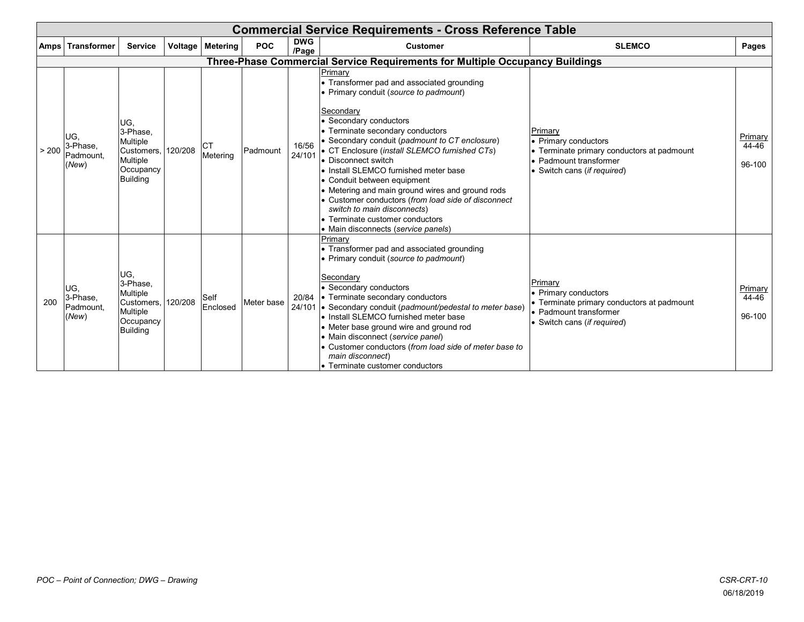|       | <b>Commercial Service Requirements - Cross Reference Table</b> |                                                                                               |         |                       |            |                     |                                                                                                                                                                                                                                                                                                                                                                                                                                                                                                                                                                                                  |                                                                                                                                        |                            |  |  |  |  |
|-------|----------------------------------------------------------------|-----------------------------------------------------------------------------------------------|---------|-----------------------|------------|---------------------|--------------------------------------------------------------------------------------------------------------------------------------------------------------------------------------------------------------------------------------------------------------------------------------------------------------------------------------------------------------------------------------------------------------------------------------------------------------------------------------------------------------------------------------------------------------------------------------------------|----------------------------------------------------------------------------------------------------------------------------------------|----------------------------|--|--|--|--|
|       | Amps   Transformer                                             | <b>Service</b>                                                                                | Voltage | <b>Metering</b>       | <b>POC</b> | <b>DWG</b><br>/Page | <b>Customer</b>                                                                                                                                                                                                                                                                                                                                                                                                                                                                                                                                                                                  | <b>SLEMCO</b>                                                                                                                          | Pages                      |  |  |  |  |
|       |                                                                |                                                                                               |         |                       |            |                     | Three-Phase Commercial Service Requirements for Multiple Occupancy Buildings                                                                                                                                                                                                                                                                                                                                                                                                                                                                                                                     |                                                                                                                                        |                            |  |  |  |  |
| > 200 | UG.<br>3-Phase,<br>Padmount.<br>(New)                          | IUG,<br>3-Phase,<br>Multiple<br>Customers,<br><b>Multiple</b><br>Occupancy<br><b>Building</b> | 120/208 | <b>CT</b><br>Metering | Padmount   | 16/56<br>24/101     | Primary<br>• Transformer pad and associated grounding<br>• Primary conduit (source to padmount)<br>Secondary<br>• Secondary conductors<br>• Terminate secondary conductors<br>• Secondary conduit (padmount to CT enclosure)<br>• CT Enclosure (install SLEMCO furnished CTs)<br>• Disconnect switch<br>. Install SLEMCO furnished meter base<br>• Conduit between equipment<br>• Metering and main ground wires and ground rods<br>• Customer conductors (from load side of disconnect<br>switch to main disconnects)<br>• Terminate customer conductors<br>• Main disconnects (service panels) | Primary<br>• Primary conductors<br>• Terminate primary conductors at padmount<br>• Padmount transformer<br>Switch cans (if required)   | Primary<br>44-46<br>96-100 |  |  |  |  |
| 200   | UG,<br>3-Phase,<br>Padmount.<br>(New)                          | UG,<br>3-Phase.<br>Multiple<br>Customers, 120/208<br>Multiple<br>Occupancy<br>Building        |         | Self<br>Enclosed      | Meter base | 20/84               | Primary<br>• Transformer pad and associated grounding<br>• Primary conduit (source to padmount)<br>Secondary<br>• Secondary conductors<br>• Terminate secondary conductors<br>24/101 • Secondary conduit (padmount/pedestal to meter base)<br>• Install SLEMCO furnished meter base<br>• Meter base ground wire and ground rod<br>• Main disconnect (service panel)<br>• Customer conductors (from load side of meter base to<br>main disconnect)<br>• Terminate customer conductors                                                                                                             | Primary<br>• Primary conductors<br>• Terminate primary conductors at padmount<br>• Padmount transformer<br>• Switch cans (if required) | Primary<br>44-46<br>96-100 |  |  |  |  |